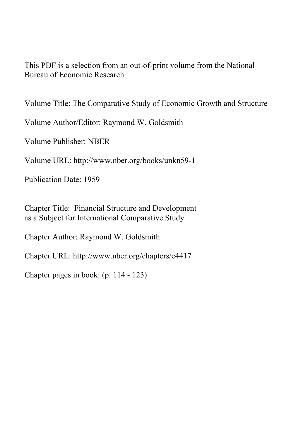This PDF is a selection from an out-of-print volume from the National Bureau of Economic Research

Volume Title: The Comparative Study of Economic Growth and Structure

Volume Author/Editor: Raymond W. Goldsmith

Volume Publisher: NBER

Volume URL: http://www.nber.org/books/unkn59-1

Publication Date: 1959

Chapter Title: Financial Structure and Development as a Subject for International Comparative Study

Chapter Author: Raymond W. Goldsmith

Chapter URL: http://www.nber.org/chapters/c4417

Chapter pages in book: (p. 114 - 123)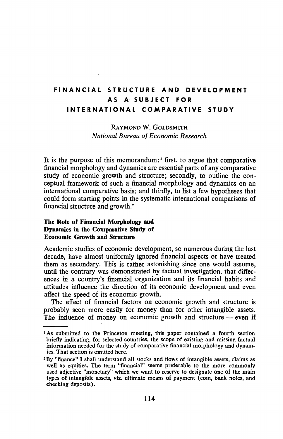# FINANCIAL STRUCTURE AND DEVELOPMENT AS A SUBJECT FOR INTERNATIONAL COMPARATIVE STUDY

## RAYMOND W. GOLDSMITH National Bureau of Economic Research

It is the purpose of this memorandum: $1$  first, to argue that comparative financial morphology and dynamics are essential parts of any comparative study of economic growth and structure; secondly, to outline the conceptual framework of such a financial morphology and dynamics on an international comparative basis; and thirdly, to list a few hypotheses that could form starting points in the systematic international comparisons of financial structure and growth.2

#### The Role of Fmancial Morphology and Dynamics in the Comparative Study of Economic Growth and Structure

Academic studies of economic development, so numerous during the last decade, have almost uniformly ignored financial aspects or have treated them as secondary. This is rather astonishing since one would assume, until the contrary was demonstrated by factual investigation, that differences in a country's financial organization and its financial habits and attitudes influence the direction of its economic development and even affect the speed of its economic growth.

The effect of financial factors on economic growth and structure is probably seen more easily for money than for other intangible assets. The influence of money on economic growth and structure — even if

<sup>1</sup>As submitted to the Princeton meeting, this paper contained a fourth section briefly indicating, for selected countries, the scope of existing and missing factual information needed for the study of comparative financial morphology and dynamics. That section is omitted here.

<sup>&</sup>lt;sup>2</sup>By "finance" I shall understand all stocks and flows of intangible assets, claims as well as equities. The term "financial" seems preferable to the more commonly used adjective "monetary" which we want to reserve to designate one of the main types of intangible assets, viz, ultimate means of payment (coin, bank notes, and checking deposits).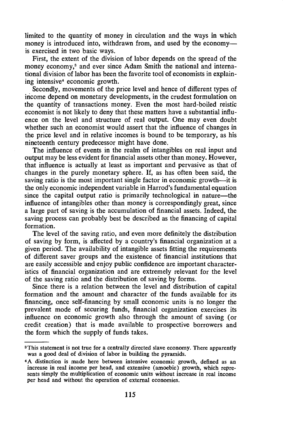limited to the quantity of money in circulation and the ways in which money is introduced into, withdrawn from, and used by the economy is exercised in two basic ways.

First, the extent of the division of labor depends on the spread of the money economy,<sup>3</sup> and ever since Adam Smith the national and international division of labor has been the favorite tool of economists in explaining intensive4 economic growth.

Secondly, movements of the price level and hence of different types of income depend on monetary developments, in the crudest formulation on the quantity of transactions money. Even the most hard-boiled reistic economist is not likely to deny that these matters have a substantial influence on the level and structure of real output. One may even doubt whether such an economist would assert that the influence of changes in the price level and in relative incomes is bound to be temporary, as his nineteenth century predecessor might have done.

The influence of events in the realm of intangibles on real input and output may be less evident for financial assets other than money. However, that influence is actually at least as important and pervasive as that of changes in the purely monetary sphere. If, as has often been said, the saving ratio is the most important single factor in economic growth—it is the only economic independent variable in Harrod's fundamental equation since the capital output ratio is primarily technological in nature—the influence of intangibles other than money is correspondingly great, since a large part of saving is the accumulation of financial assets. Indeed, the saving process can probably best be described as the financing of capital formation.

The level of the saving ratio, and even more definitely the distribution of saving by form, is affected by a country's financial organization at a given period. The availability of intangible assets fitting the requirements of different saver groups and the existence of financial institutions that are easily accessible and enjoy public confidence are important characteristics of financial organization and are extremely relevant for the level of the saving ratio and the distribution of saving by forms.

Since there is a relation between the level and distribution of capital formation and the amount and character of the funds available for its financing, once self-financing by small economic units is no longer the prevalent mode of securing funds, financial organization exercises its influence on economic growth also through the amount of saving (or credit creation) that is made available to prospective borrowers and the form which the supply of funds takes.

<sup>&</sup>lt;sup>3</sup>This statement is not true for a centrally directed slave economy. There apparently was a good deal of division of labor in building the pyramids.

<sup>&</sup>lt;sup>4</sup>A distinction is made here between intensive economic growth, defined as an increase in real income per head, and extensive (amoebic) growth, which represents simply the multiplication of economic units without increase in real income per head and without the operation of external economies.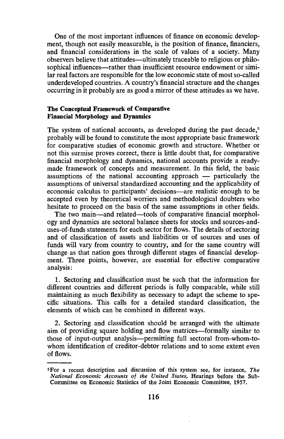One of the most important influences of finance on economic development, though not easily measurable, is the position of finance, financiers, and financial considerations in the scale of values of a society. Many observers believe that attitudes—ultimately traceable to religious or philosophical influences—rather than insufficient resource endowment or similar real factors are responsible for the low economic state of most so-called underdeveloped countries. A country's financial structure and the changes occurring in it probably are as good a mirror of these attitudes as we have.

#### The Conceptual Framework of Comparative Financial Morphology and Dynamics

The system of national accounts, as developed during the past decade,<sup>5</sup> probably will be found to constitute the most appropriate basic framework for comparative studies of economic growth and structure. Whether or not this surmise proves correct, there is little doubt that, for comparative financial morphology and dynamics, national accounts provide a readymade framework of concepts and measurement. In this field, the basic assumptions of the national accounting approach — particularly the assumptions of universal standardized accounting and the applicability of economic calculus to participants' decisions—are realistic enough to be accepted even by theoretical worriers and methodological doubters who hesitate to proceed on the basis of the same assumptions in other fields.

The two main—and related—tools of comparative financial morphology and dynamics are sectoral balance sheets for stocks and sources-anduses-of-funds statements for each sector for flows. The details of sectoring and of classification of assets and liabilities or of sources and uses of funds will vary from country to country, and for the same country will change as that nation goes through different stages of financial development. Three points, however, are essential for effective comparative analysis:

1. Sectoring and classification must be such that the information for different countries and different periods is fully comparable, while still maintaining as much flexibility as necessary to adapt the scheme to specific situations. This calls for a detailed standard classification, the elements of which can be combined in different ways.

2. Sectoring and classification should be arranged with the ultimate aim of providing square holding and flow matrices—formally similar to those of input-output analysis—permitting full sectoral from-whom-towhom identification of creditor-debtor relations and to some extent even of flows.

<sup>&</sup>lt;sup>5</sup>For a recent description and discussion of this system see, for instance, The National Economic Accounts of the United States, Hearings before the Sub-Committee on Economic Statistics of the Joint Economic Committee, 1957.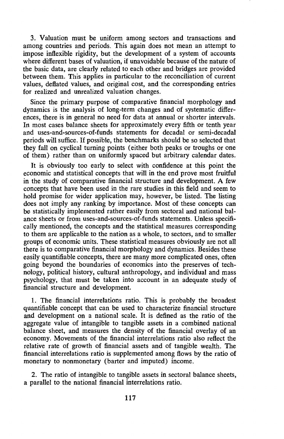3. Valuation must be uniform among sectors and transactions and among countries and periods. This again does not mean an attempt to impose inflexible rigidity, but the development of a system of accounts where different bases of valuation, if unavoidable because of the nature of the basic data, are clearly related to each other and bridges are provided between them. This applies in particular to the reconciliation of current values, deflated values, and original cost, and the corresponding entries for realized and unrealized valuation changes.

Since the primary purpose of comparative financial morphology and dynamics is the analysis of long-term changes and of systematic differences, there is in general no need for data at annual or shorter intervals. In most cases balance sheets for approximately every fifth or tenth year and uses-and-sources-of-funds statements for decadal or semi-decadal periods will suffice. If possible, the benchmarks should be so selected that they fall on cyclical turning points (either both peaks or troughs or one of them) rather than on uniformly spaced but arbitrary calendar dates.

It is obviously too early to select with confidence at this point the economic and statistical concepts that will in the end prove most fruitful in the study of comparative financial structure and development. A few concepts that have been used in the rare studies in this field and seem to hold promise for wider application may, however, be listed. The listing does not imply any ranking by importance. Most of these concepts can be statistically implemented rather easily from sectoral and national balance sheets or from uses-and-sources-of-funds statements. Unless specifically mentioned, the concepts and the statistical measures corresponding to them are applicable to the nation as a whole, to sectors, and to smaller groups of economic units. These statistical measures obviously are not all there is to comparative financial morphology and dynamics. Besides these easily quantifiable concepts, there are many more complicated ones, often going beyond the boundaries of economics into the preserves of technology, political history, cultural anthropology, and individual and mass psychology, that must be taken into account in an adequate study of financial structure and development.

1. The financial interrelations ratio. This is probably the broadest quantifiable concept that can be used to characterize financial structure and development on a national scale. It is defined as the ratio of the aggregate value of intangible to tangible assets in a combined national balance sheet, and measures the density of the financial overlay of an economy. Movements of the financial interrelations ratio also reflect the relative rate of growth of financial assets and of tangible wealth. The financial interrelations ratio is supplemented among flows by the ratio of monetary to nonmonetary (barter and imputed) income.

2. The ratio of intangible to tangible assets in sectoral balance sheets, a parallel to the national financial interrelations ratio.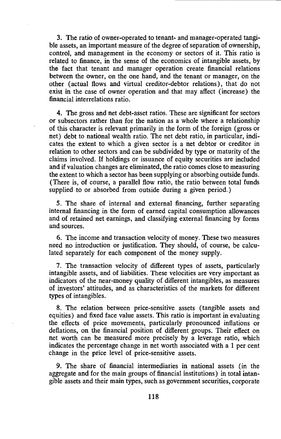3. The ratio of owner-operated to tenant- and manager-operated tangible assets, an important measure of the degree of separation of ownership, control, and management in the economy or sectors of it. This ratio is related to finance, in the sense of the economics of intangible assets, by the fact that tenant and manager operation create financial relations between the owner, on the one hand, and the tenant or manager, on the other (actual flows and virtual creditor-debtor relations), that do not exist in the case of owner operation and that may affect (increase) the financial interrelations ratio.

4. The gross and net debt-asset ratios. These are significant for sectors or subsectors rather than for the nation as a whole where a relationship of this character is relevant primarily in the form of the foreign (gross or net) debt to national wealth ratio. The net debt ratio, in particular, indicates the extent to which a given sector is a net debtor or creditor in relation to other sectors and can be subdivided by type or maturity of the claims involved. If holdings or issuance of equity securities are included and if valuation changes are eliminated, the ratio comes close to measuring the extent to which a sector has been supplying or absorbing outside funds. (There is, of course, a parallel flow ratio, the ratio between total funds supplied to or absorbed from outside during a given period.)

5. The share of internal and external financing, further separating internal financing in the form of earned capital consumption allowances and of retained net earnings, and classifying external financing by forms and sources.

6. The income and transaction velocity of money. These two measures need no introduction or justification. They should, of course, be calculated separately for each component of the money supply.

7. The transaction velocity of different types of assets, particularly intangible assets, and of liabilities. These velocities are very important as indicators of the near-money quality of different intangibles, as measures of investors' attitudes, and as characteristics of the markets for different types of intangibles.

8. The relation between price-sensitive assets (tangible assets and equities) and fixed face value assets. This ratio is important in evaluating the effects of price movements, particularly pronounced inflations or deflations, on the financial position of different groups. Their effect on net worth can be measured more precisely by a leverage ratio, which indicates the percentage change in net worth associated with a 1 per cent change in the price level of price-sensitive assets.

9. The share of financial intermediaries in national assets (in the aggregate and for the main groups of financial institutions) in total intangible assets and their main types, such as government securities, corporate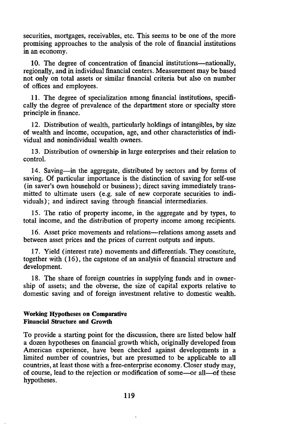securities, mortgages, receivables, etc. This seems to be one of the more promising approaches to the analysis of the role of financial institutions in an economy.

10. The degree of concentration of financial institutions—nationally, regionally, and in individual financial centers. Measurement may be based not only on total assets or similar financial criteria but also on number of offices and employees.

11. The degree of specialization among financial institutions, specifically the degree of prevalence of the department store or specialty store principle in finance.

12. Distribution of wealth, particularly holdings of intangibles, by size of wealth and income, occupation, age, and other characteristics of individual and nonindividual wealth owners.

13. Distribution of ownership in large enterprises and their relation to control.

14. Saving—in the aggregate, distributed by sectors and by forms of saving. Of particular importance is the distinction of saving for self-use (in saver's own household or business); direct saving immediately transmitted to ultimate users (e.g. sale of new corporate securities to individuals); and indirect saving through financial intermediaries.

15. The ratio of property income, in the aggregate and by types, to total income, and the distribution of property income among recipients.

16. Asset price movements and relations—relations among assets and between asset prices and the prices of current outputs and inputs.

17. Yield (interest rate) movements and differentials. They constitute, together with (16), the capstone of an analysis of financial structure and development.

18. The share of foreign countries in supplying funds and in ownership of assets; and the obverse, the size of capital exports relative to domestic saving and of foreign investment relative to domestic wealth.

### Working Hypotheses on Comparative Financial Structure and Growth

To provide a starting point for the discussion, there are listed below half a dozen hypotheses on financial growth which, originally developed from American experience, have been checked against developments in a limited number of countries, but are presumed to be applicable to all countries, at least those with a free-enterprise economy. Closer study may, of course, lead to the rejection or modification of some—or all—of these hypotheses.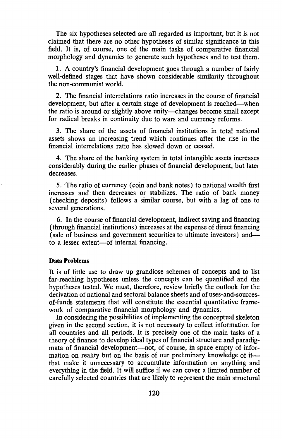The six hypotheses selected are all regarded as important, but it is not claimed that there are no other hypotheses of similar significance in this field. It is, of course, one of the main tasks of comparative financial morphology and dynamics to generate such hypotheses and to test them.

1. A country's financial development goes through a number of fairly well-defined stages that have shown considerable similarity throughout the non-communist world.

2. The financial interrelations ratio increases in the course of financial development, but after a certain stage of development is reached—when the ratio is around or slightly above unity—changes become small except for radical breaks in continuity due to wars and currency reforms.

3. The share of the assets of financial institutions in total national assets shows an increasing trend which continues after the rise in the financial interrelations ratio has slowed down or ceased.

4. The share of the banking system in total intangible assets increases considerably during the earlier phases of financial development, but later decreases.

5. The ratio of currency (coin and bank notes) to national wealth first increases and then decreases or stabilizes. The ratio of bank money (checking deposits) follows a similar course, but with a lag of one to several generations.

6. In the course of financial development, indirect saving and financing (through financial institutions) increases at the expense of direct financing (sale of business and government securities to ultimate investors) and to a lesser extent—of internal financing.

#### Data Problems

It is of little use to draw up grandiose schemes of concepts and to list far-reaching hypotheses unless the concepts can be quantified and the hypotheses tested. We must, therefore, review briefly the outlook for the derivation of national and sectoral balance sheets and of uses-and-sourcesof-funds statements that will constitute the essential quantitative framework of comparative financial morphology and dynamics.

In considering the possibilities of implementing the conceptual skeleton given in the second section, it is not necessary to collect information for all countries and all periods. It is precisely one of the main tasks of a theory of finance to develop ideal types of financial structure and paradigmata of financial development—not, of course, in space empty of information on reality but on the basis of our preliminary knowledge of it that make it unnecessary to accumulate information on anything and everything in the field. It will suffice if we can cover a limited number of carefully selected countries that are likely to represent the main structural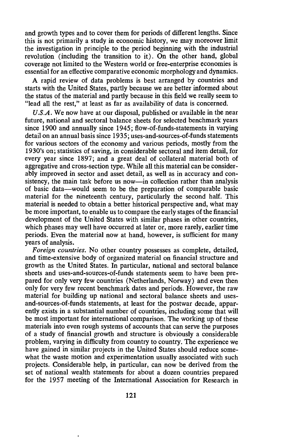and growth types and to cover them for periods of different lengths. Since this is not primarily a study in economic history, we may moreover limit the investigation in principle to the period beginning with the industrial revolution (including the transition to it). On the other hand, global coverage not limited to the Western world or free-enterprise economies is essential for an effective comparative economic morphology and dynamics.

A rapid review of data problems is best arranged by countries and starts with the United States, partly because we are better informed about the status of the material and partly because in this field we really seem to "lead all the rest," at least as far as availability of data is concerned.

 $U.S.A.$  We now have at our disposal, published or available in the near future, national and sectoral balance sheets for selected benchmark years since 1900 and annually since 1945; flow-of-funds-statements in varying detail on an annual basis since 1935; uses-and-sources-of-funds statements for various sectors of the economy and various periods, mostly from the 1930's on; statistics of saving, in considerable sectoral and item detail, for every year since 1897; and a great deal of collateral material both of aggregative and cross-section type. While all this material can be considerably improved in sector and asset detail, as well as in accuracy and consistency, the main task before us now—in collection rather than analysis of basic data—would seem to be the preparation of comparable basic material for the nineteenth century, particularly the second half. This material is needed to obtain a better historical perspective and, what may be more important, to enable us to compare the early stages of the financial development of the United States with similar phases in other countries, which phases may well have occurred at later or, more rarely, earlier time periods. Even the material now at hand, however, is sufficient for many years of analysis.

Foreign countries. No other country possesses as complete, detailed, and time-extensive body of organized material on financial structure and growth as the United States. In particular, national and sectoral balance sheets and uses-and-sources-of-funds statements seem to have been prepared for only very few countries (Netherlands, Norway) and even then only for very few recent benchmark dates and periods. However, the raw material for building up national and sectoral balance sheets and usesand-sources-of-funds statements, at least for the postwar decade, apparently exists in a substantial number of countries, including some that will be most important for international comparison. The working up of these materials into even rough systems of accounts that can serve the purposes of a study of financial growth and structure is obviously a considerable problem, varying in difficulty from country to country. The experience we have gained in similar projects in the United States should reduce somewhat the waste motion and experimentation usually associated with such projects. Considerable help, in particular, can now be derived from the set of national wealth statements for about a dozen countries prepared for the 1957 meeting of the International Association for Research in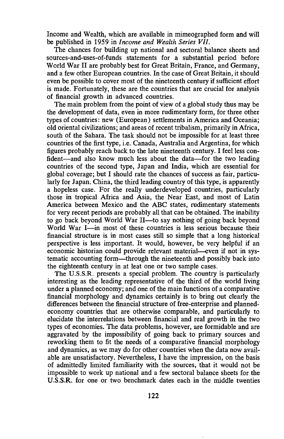Income and Wealth, which are available in mimeographed form and will be published in 1959 in *Income and Wealth Series VII*.

The chances for building up national and sectoral balance sheets and sources-and-uses-of-funds statements for a substantial period before World War II are probably best for Great Britain, France, and Germany, and a few other European countries. In the case of Great Britain, it should even be possible to cover most of the nineteenth century if sufficient effort is made. Fortunately, these are the countries that are crucial for analysis of financial growth in advanced countries.

The main problem from the point of view of a global study thus may be the development of data, even in more rudimentary form, for three other types of countries: new (European) settlements in America and Oceania; old oriental civilizations; and areas of recent tribalism, primarily in Africa, south of the Sahara. The task should not be impossible for at least three countries of the first type, i.e. Canada, Australia and Argentina, for which figures probably reach back to the late nineteenth century. I feel less confident—and also know much less about the data—for the two leading countries of the second type, Japan and India, which are essential for global coverage; but I should rate the chances of success as fair, particularly for Japan. China, the third leading country of this type, is apparently a hopeless case. For the really underdeveloped countries, particularly those in tropical Africa and Asia, the Near East, and most of Latin America between Mexico and the ABC states, rudimentary statements for very recent periods are probably all that can be obtained. The inability to go back beyond World War Il—to say nothing of going back beyond World War I—in most of these countries is less serious because their financial structure is in most cases still so simple that a long historical perspective is less important. It would, however, be very helpful if an economic historian could provide relevant material—even if not in systematic accounting form—through the nineteenth and possibly back into the eighteenth century in at leat one or two sample cases.

The U.S.S.R. presents a special problem. The country is particularly interesting as the leading representative of the third of the world living under a planned economy; and one of the main functions of a comparative financial morphology and dynamics certainly is to bring out clearly the differences between the financial structure of free-enterprise and plannedeconomy countries that are otherwise comparable, and particularly to elucidate the interrelations between financial and real growth in the two types of economies. The data problems, however, are formidable and are aggravated by the impossibility of going back to primary sources and reworking them to fit the needs of a comparative financial morphology and dynamics, as we may do for other countries when the data now available are unsatisfactory. Nevertheless, I have the impression, on the basis of admittedly limited familiarity with the sources, that it would not be impossible to work up national and a few sectoral balance sheets for the U.S.S.R. for one or two benchmark dates each in the middle twenties